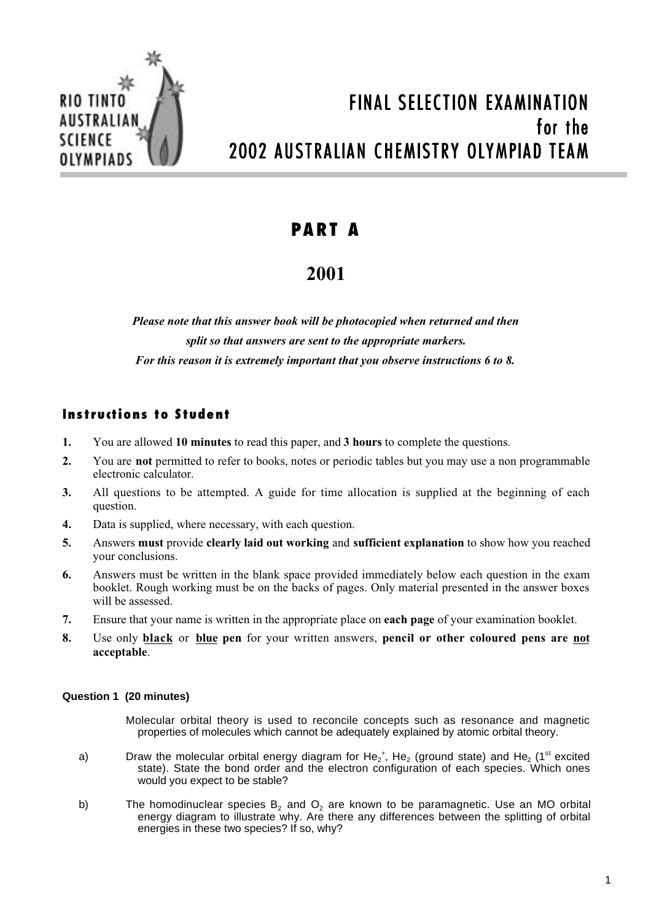

# FINAL SELECTION EXAMINATION for the 2002 AUSTRALIAN CHEMISTRY OLYMPIAD TEAM

## **PART A**

### **2001**

*Please note that this answer book will be photocopied when returned and then split so that answers are sent to the appropriate markers. For this reason it is extremely important that you observe instructions 6 to 8.*

### **Instructions to Student**

- **1.** You are allowed **10 minutes** to read this paper, and **3 hours** to complete the questions.
- **2.** You are **not** permitted to refer to books, notes or periodic tables but you may use a non programmable electronic calculator.
- **3.** All questions to be attempted. A guide for time allocation is supplied at the beginning of each question.
- **4.** Data is supplied, where necessary, with each question.
- **5.** Answers **must** provide **clearly laid out working** and **sufficient explanation** to show how you reached your conclusions.
- **6.** Answers must be written in the blank space provided immediately below each question in the exam booklet. Rough working must be on the backs of pages. Only material presented in the answer boxes will be assessed.
- **7.** Ensure that your name is written in the appropriate place on **each page** of your examination booklet.
- **8.** Use only **black** or **blue pen** for your written answers, **pencil or other coloured pens are not acceptable**.

#### **Question 1 (20 minutes)**

- Molecular orbital theory is used to reconcile concepts such as resonance and magnetic properties of molecules which cannot be adequately explained by atomic orbital theory.
- a) Draw the molecular orbital energy diagram for  $He_2^+$ ,  $He_2$  (ground state) and  $He_2$  (1<sup>st</sup> excited state). State the bond order and the electron configuration of each species. Which ones would you expect to be stable?
- b) The homodinuclear species  $B_2$  and  $O_2$  are known to be paramagnetic. Use an MO orbital energy diagram to illustrate why. Are there any differences between the splitting of orbital energies in these two species? If so, why?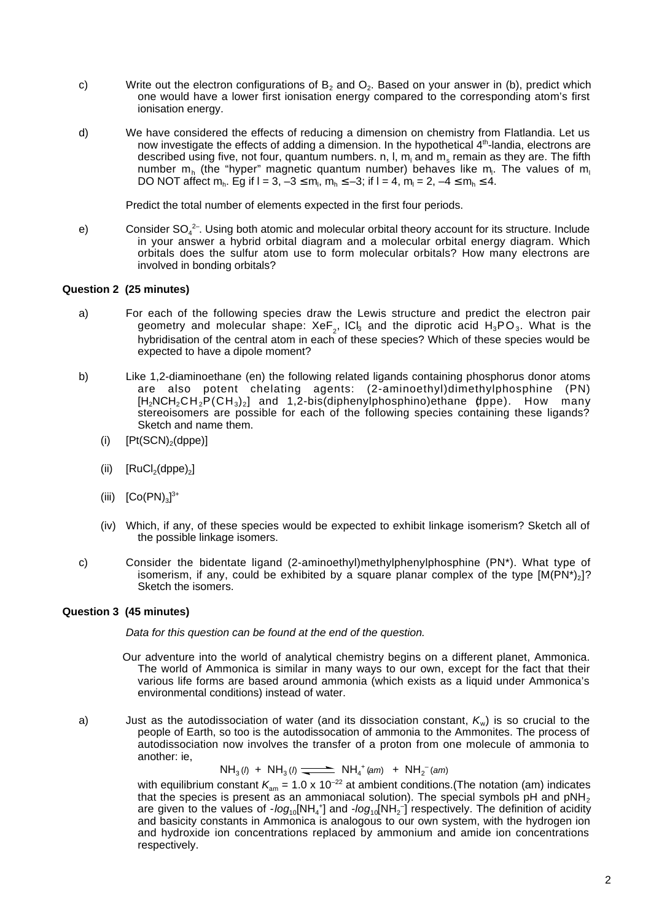- c) Write out the electron configurations of  $B_2$  and  $O_2$ . Based on your answer in (b), predict which one would have a lower first ionisation energy compared to the corresponding atom's first ionisation energy.
- d) We have considered the effects of reducing a dimension on chemistry from Flatlandia. Let us now investigate the effects of adding a dimension. In the hypothetical 4<sup>th</sup>-landia, electrons are described using five, not four, quantum numbers. n, l, m<sub>i</sub> and m<sub>s</sub> remain as they are. The fifth number m<sub>h</sub> (the "hyper" magnetic quantum number) behaves like m<sub>i</sub>. The values of m<sub>i</sub> DO NOT affect m<sub>n</sub>. Eg if l = 3, -3  $\leq$  m<sub>i</sub>, m<sub>n</sub>  $\leq$  -3; if l = 4, m<sub>i</sub> = 2, -4  $\leq$  m<sub>n</sub>  $\leq$  4.

Predict the total number of elements expected in the first four periods.

e) Consider SO<sub>4</sub><sup>2-</sup>. Using both atomic and molecular orbital theory account for its structure. Include in your answer a hybrid orbital diagram and a molecular orbital energy diagram. Which orbitals does the sulfur atom use to form molecular orbitals? How many electrons are involved in bonding orbitals?

#### **Question 2 (25 minutes)**

- a) For each of the following species draw the Lewis structure and predict the electron pair geometry and molecular shape: Xe $\mathsf{F}_2^{}$ , ICI $_3$  and the diprotic acid  $\mathsf{H}_3\mathsf{PO}_3.$  What is the hybridisation of the central atom in each of these species? Which of these species would be expected to have a dipole moment?
- b) Like 1,2-diaminoethane (en) the following related ligands containing phosphorus donor atoms are also potent chelating agents: (2-aminoethyl)dimethylphosphine (PN) [H $_2$ NCH $_2$ CH $_2$ P $\rm \left(CH_3\right)_2\}$  and 1,2-bis(diphenylphosphino)ethane (dppe). How many stereoisomers are possible for each of the following species containing these ligands? Sketch and name them.
	- $(i)$   $[Pt(SCN)_2(dppe)]$
	- (ii)  $[RuCl<sub>2</sub>(dppe)<sub>2</sub>]$
	- (iii)  $[Co(PN)<sub>3</sub>]^{3+}$
	- (iv) Which, if any, of these species would be expected to exhibit linkage isomerism? Sketch all of the possible linkage isomers.
- c) Consider the bidentate ligand (2-aminoethyl)methylphenylphosphine (PN\*). What type of isomerism, if any, could be exhibited by a square planar complex of the type  $[M(\overrightarrow{PN})_2]$ ? Sketch the isomers.

#### **Question 3 (45 minutes)**

Data for this question can be found at the end of the question.

- Our adventure into the world of analytical chemistry begins on a different planet, Ammonica. The world of Ammonica is similar in many ways to our own, except for the fact that their various life forms are based around ammonia (which exists as a liquid under Ammonica's environmental conditions) instead of water.
- a) Just as the autodissociation of water (and its dissociation constant,  $K_w$ ) is so crucial to the people of Earth, so too is the autodissocation of ammonia to the Ammonites. The process of autodissociation now involves the transfer of a proton from one molecule of ammonia to another: ie,

 $NH_3(\eta + NH_3(\eta - \frac{1}{\sqrt{1-\frac{1}{2}}})$   $NH_4^+(\text{am}) + NH_2^-(\text{am})$ 

with equilibrium constant  $K_{am} = 1.0 \times 10^{-22}$  at ambient conditions. (The notation (am) indicates that the species is present as an ammoniacal solution). The special symbols  $pH$  and  $pNH<sub>2</sub>$ are given to the values of -log<sub>10</sub>[NH<sub>4</sub><sup>+</sup>] and -log<sub>10</sub>[NH<sub>2</sub><sup>-</sup>] respectively. The definition of acidity and basicity constants in Ammonica is analogous to our own system, with the hydrogen ion and hydroxide ion concentrations replaced by ammonium and amide ion concentrations respectively.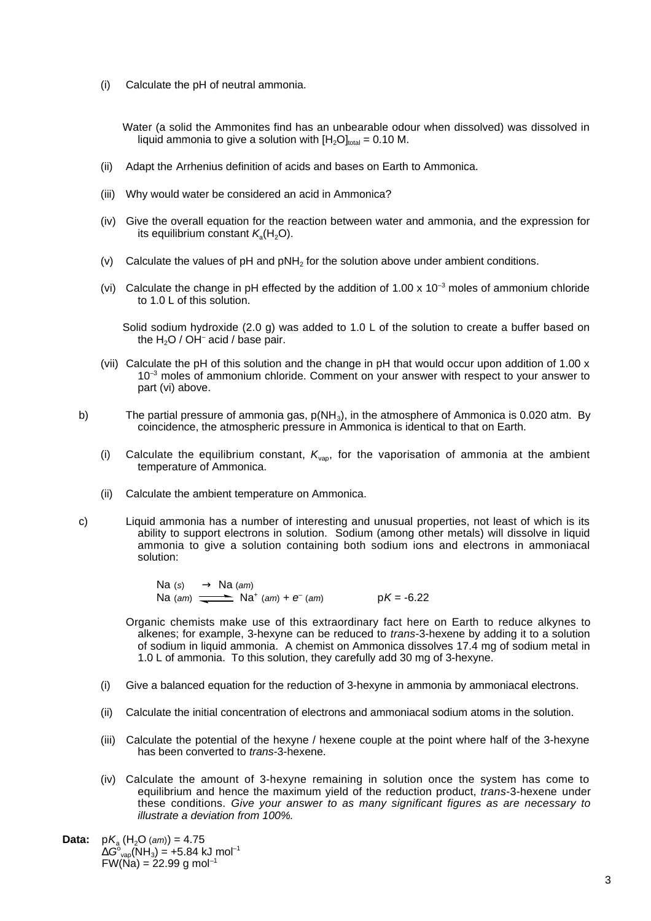(i) Calculate the pH of neutral ammonia.

Water (a solid the Ammonites find has an unbearable odour when dissolved) was dissolved in liquid ammonia to give a solution with  $[H<sub>2</sub>O]_{total} = 0.10$  M.

- (ii) Adapt the Arrhenius definition of acids and bases on Earth to Ammonica.
- (iii) Why would water be considered an acid in Ammonica?
- (iv) Give the overall equation for the reaction between water and ammonia, and the expression for its equilibrium constant  $K_s(H_2O)$ .
- (v) Calculate the values of  $pH$  and  $pNH<sub>2</sub>$  for the solution above under ambient conditions.
- (vi) Calculate the change in pH effected by the addition of 1.00 x 10<sup>-3</sup> moles of ammonium chloride to 1.0 L of this solution.

Solid sodium hydroxide (2.0 g) was added to 1.0 L of the solution to create a buffer based on the  $H<sub>2</sub>O$  / OH<sup>–</sup> acid / base pair.

- (vii) Calculate the pH of this solution and the change in pH that would occur upon addition of 1.00 x  $10^{-3}$  moles of ammonium chloride. Comment on your answer with respect to your answer to part (vi) above.
- b) The partial pressure of ammonia gas,  $p(NH_3)$ , in the atmosphere of Ammonica is 0.020 atm. By coincidence, the atmospheric pressure in Ammonica is identical to that on Earth.
	- (i) Calculate the equilibrium constant,  $K_{\text{van}}$ , for the vaporisation of ammonia at the ambient temperature of Ammonica.
	- (ii) Calculate the ambient temperature on Ammonica.
- c) Liquid ammonia has a number of interesting and unusual properties, not least of which is its ability to support electrons in solution. Sodium (among other metals) will dissolve in liquid ammonia to give a solution containing both sodium ions and electrons in ammoniacal solution:

Na (s)  $\longrightarrow$  Na (am) Na (am)  $\frac{1}{\sqrt{1-\frac{1}{n}}}$  Na<sup>+</sup> (am) +  $e^{-}(am)$  pK = -6.22

- Organic chemists make use of this extraordinary fact here on Earth to reduce alkynes to alkenes; for example, 3-hexyne can be reduced to trans-3-hexene by adding it to a solution of sodium in liquid ammonia. A chemist on Ammonica dissolves 17.4 mg of sodium metal in 1.0 L of ammonia. To this solution, they carefully add 30 mg of 3-hexyne.
- (i) Give a balanced equation for the reduction of 3-hexyne in ammonia by ammoniacal electrons.
- (ii) Calculate the initial concentration of electrons and ammoniacal sodium atoms in the solution.
- (iii) Calculate the potential of the hexyne / hexene couple at the point where half of the 3-hexyne has been converted to trans-3-hexene.
- (iv) Calculate the amount of 3-hexyne remaining in solution once the system has come to equilibrium and hence the maximum yield of the reduction product, trans-3-hexene under these conditions. Give your answer to as many significant figures as are necessary to illustrate a deviation from 100%.
- **Data:**  $pK_a(H_2O (am)) = 4.75$  $\Delta G^{\circ}_{\mathsf{vap}}(\mathsf{NH}_3)$  = +5.84 kJ mol $^{-1}$  $FW(Na) = 22.99$  g mol<sup>-1</sup>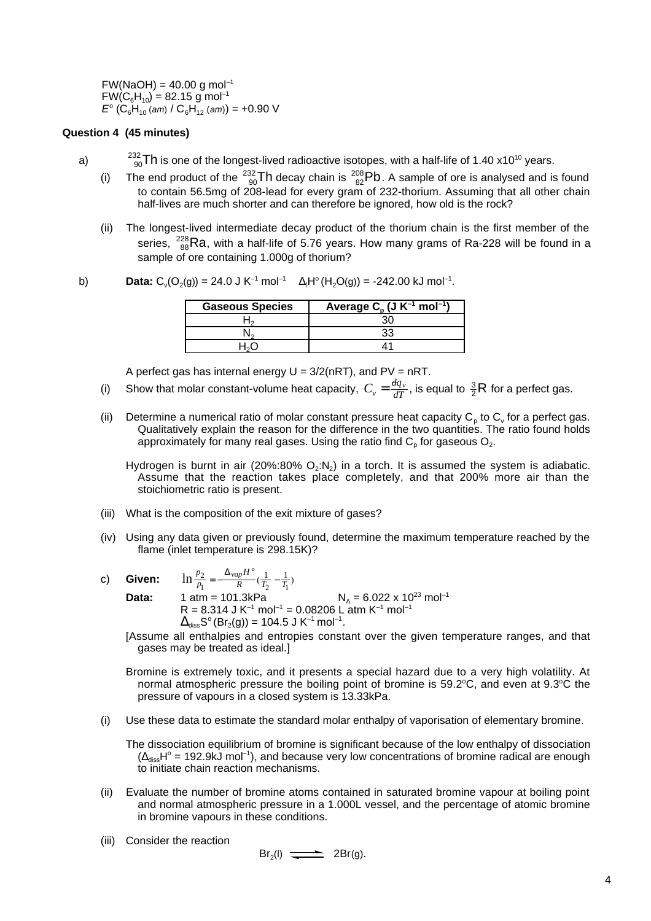$FW(NaOH) = 40.00 g mol<sup>-1</sup>$  $FW(C_6H_{10}) = 82.15$  g mol<sup>-1</sup>  $E^{\circ}$  (C<sub>6</sub>H<sub>10</sub> (am) / C<sub>6</sub>H<sub>12</sub> (am)) = +0.90 V

#### **Question 4 (45 minutes)**

- a)  $^{232}_{90}$ Th is one of the longest-lived radioactive isotopes, with a half-life of 1.40 x10<sup>10</sup> years.
	- (i) The end product of the  $\frac{^{232}}{90}$ Th decay chain is  $\frac{^{208}}{82}$ Pb. A sample of ore is analysed and is found to contain 56.5mg of 208-lead for every gram of 232-thorium. Assuming that all other chain half-lives are much shorter and can therefore be ignored, how old is the rock?
	- (ii) The longest-lived intermediate decay product of the thorium chain is the first member of the series,  $^{228}_{88}$ Ra, with a half-life of 5.76 years. How many grams of Ra-228 will be found in a sample of ore containing 1.000g of thorium?

b) **Data:** C<sub>v</sub>(O<sub>2</sub>(g)) = 24.0 J K<sup>-1</sup> mol<sup>-1</sup> 
$$
\Delta_f H^{\circ}(H_2O(g)) = -242.00 \text{ kJ} \text{ mol}^{-1}
$$
.

| <b>Gaseous Species</b> | Average $C_p$ (J $K^{-1}$ mol <sup>-1</sup> ) |
|------------------------|-----------------------------------------------|
|                        |                                               |
|                        |                                               |
|                        |                                               |

A perfect gas has internal energy  $U = 3/2(nRT)$ , and  $PV = nRT$ .

- (i) Show that molar constant-volume heat capacity,  $C_v = \frac{dq_v}{dT}$ , is equal to  $\frac{3}{2}R$  for a perfect gas.
- (ii) Determine a numerical ratio of molar constant pressure heat capacity  $C_p$  to  $C_v$  for a perfect gas. Qualitatively explain the reason for the difference in the two quantities. The ratio found holds approximately for many real gases. Using the ratio find  $C_p$  for gaseous  $O_2$ .

Hydrogen is burnt in air (20%:80%  $O_2:N_2$ ) in a torch. It is assumed the system is adiabatic. Assume that the reaction takes place completely, and that 200% more air than the stoichiometric ratio is present.

- (iii) What is the composition of the exit mixture of gases?
- (iv) Using any data given or previously found, determine the maximum temperature reached by the flame (inlet temperature is 298.15K)?
- c) **Given:**  $\ln \frac{p_2}{p_1} = -\frac{\Delta_{vap}H^{\circ}}{R}(\frac{1}{T} \frac{1}{T})$ *p H R*  $T_2 - T_1$  $\frac{2}{2}$   $\frac{\Delta_{vap}}{2}$  $\frac{2}{r_1} = -\frac{\Delta_{vap} H^{\circ}}{R} (\frac{1}{T_2} - \frac{1}{T_1})$ 
	-

**Data:** 1 atm = 101.3kPa  $N_A = 6.022 \times 10^{23}$  mol<sup>-1</sup>  $R = 8.314$  J K<sup>-1</sup> mol<sup>-1</sup> = 0.08206 L atm K<sup>-1</sup> mol<sup>-1</sup>  $\Delta_{\text{diss}}S^{\circ}(\text{Br}_2(g)) = 104.5 \text{ J K}^{-1} \text{ mol}^{-1}.$ 

[Assume all enthalpies and entropies constant over the given temperature ranges, and that gases may be treated as ideal.]

Bromine is extremely toxic, and it presents a special hazard due to a very high volatility. At normal atmospheric pressure the boiling point of bromine is  $59.2^{\circ}$ C, and even at  $9.3^{\circ}$ C the pressure of vapours in a closed system is 13.33kPa.

(i) Use these data to estimate the standard molar enthalpy of vaporisation of elementary bromine.

The dissociation equilibrium of bromine is significant because of the low enthalpy of dissociation  $(\Delta_{\text{diss}}H^{\circ} = 192.9$ kJ mol<sup>-1</sup>), and because very low concentrations of bromine radical are enough to initiate chain reaction mechanisms.

- (ii) Evaluate the number of bromine atoms contained in saturated bromine vapour at boiling point and normal atmospheric pressure in a 1.000L vessel, and the percentage of atomic bromine in bromine vapours in these conditions.
- (iii) Consider the reaction

$$
Br_2(I) \xrightarrow{\longrightarrow} 2Br(g).
$$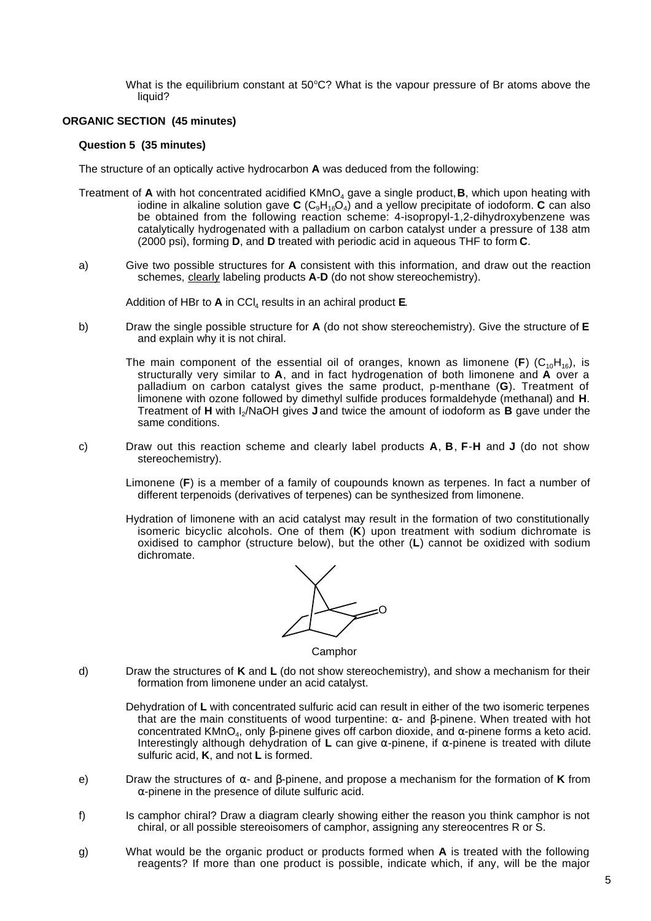What is the equilibrium constant at  $50^{\circ}$ C? What is the vapour pressure of Br atoms above the liquid?

#### **ORGANIC SECTION (45 minutes)**

#### **Question 5 (35 minutes)**

The structure of an optically active hydrocarbon **A** was deduced from the following:

- Treatment of A with hot concentrated acidified KMnO<sub>4</sub> gave a single product, B, which upon heating with iodine in alkaline solution gave  $C$  ( $C_0H_{16}O_A$ ) and a yellow precipitate of iodoform. **C** can also be obtained from the following reaction scheme: 4-isopropyl-1,2-dihydroxybenzene was catalytically hydrogenated with a palladium on carbon catalyst under a pressure of 138 atm (2000 psi), forming **D**, and **D** treated with periodic acid in aqueous THF to form **C**.
- a) Give two possible structures for **A** consistent with this information, and draw out the reaction schemes, clearly labeling products **A**-**D** (do not show stereochemistry).

Addition of HBr to **A** in CCI<sub>4</sub> results in an achiral product **E**.

- b) Draw the single possible structure for **A** (do not show stereochemistry). Give the structure of **E** and explain why it is not chiral.
	- The main component of the essential oil of oranges, known as limonene (F)  $(C_{10}H_{16})$ , is structurally very similar to **A**, and in fact hydrogenation of both limonene and **A** over a palladium on carbon catalyst gives the same product, p-menthane (**G**). Treatment of limonene with ozone followed by dimethyl sulfide produces formaldehyde (methanal) and **H**. Treatment of **H** with I2/NaOH gives **J** and twice the amount of iodoform as **B** gave under the same conditions.
- c) Draw out this reaction scheme and clearly label products **A**, **B**, **F**-**H** and **J** (do not show stereochemistry).
	- Limonene (**F**) is a member of a family of coupounds known as terpenes. In fact a number of different terpenoids (derivatives of terpenes) can be synthesized from limonene.
	- Hydration of limonene with an acid catalyst may result in the formation of two constitutionally isomeric bicyclic alcohols. One of them (**K**) upon treatment with sodium dichromate is oxidised to camphor (structure below), but the other (**L**) cannot be oxidized with sodium dichromate.



**Camphor** 

d) Draw the structures of **K** and **L** (do not show stereochemistry), and show a mechanism for their formation from limonene under an acid catalyst.

Dehydration of **L** with concentrated sulfuric acid can result in either of the two isomeric terpenes that are the main constituents of wood turpentine:  $\alpha$ - and β-pinene. When treated with hot concentrated KMnO4, only β-pinene gives off carbon dioxide, and α-pinene forms a keto acid. Interestingly although dehydration of **L** can give α-pinene, if α-pinene is treated with dilute sulfuric acid, **K**, and not **L** is formed.

- e) Draw the structures of α- and β-pinene, and propose a mechanism for the formation of **K** from  $\alpha$ -pinene in the presence of dilute sulfuric acid.
- f) Is camphor chiral? Draw a diagram clearly showing either the reason you think camphor is not chiral, or all possible stereoisomers of camphor, assigning any stereocentres R or S.
- g) What would be the organic product or products formed when **A** is treated with the following reagents? If more than one product is possible, indicate which, if any, will be the major